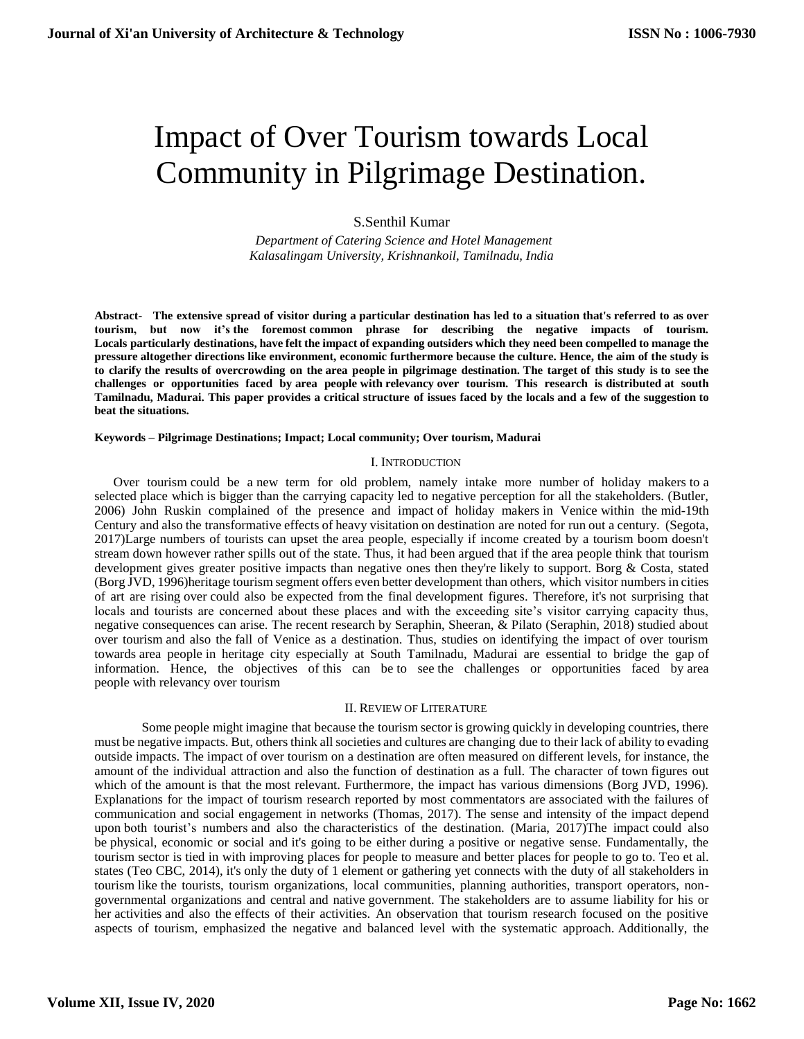# Impact of Over Tourism towards Local Community in Pilgrimage Destination.

# S.Senthil Kumar

 *Department of Catering Science and Hotel Management Kalasalingam University, Krishnankoil, Tamilnadu, India*

**Abstract- The extensive spread of visitor during a particular destination has led to a situation that's referred to as over tourism, but now it's the foremost common phrase for describing the negative impacts of tourism. Locals particularly destinations, have felt the impact of expanding outsiders which they need been compelled to manage the pressure altogether directions like environment, economic furthermore because the culture. Hence, the aim of the study is to clarify the results of overcrowding on the area people in pilgrimage destination. The target of this study is to see the challenges or opportunities faced by area people with relevancy over tourism. This research is distributed at south Tamilnadu, Madurai. This paper provides a critical structure of issues faced by the locals and a few of the suggestion to beat the situations.**

#### **Keywords – Pilgrimage Destinations; Impact; Local community; Over tourism, Madurai**

#### I. INTRODUCTION

Over tourism could be a new term for old problem, namely intake more number of holiday makers to a selected place which is bigger than the carrying capacity led to negative perception for all the stakeholders. (Butler, 2006) John Ruskin complained of the presence and impact of holiday makers in Venice within the mid-19th Century and also the transformative effects of heavy visitation on destination are noted for run out a century. (Segota, 2017)Large numbers of tourists can upset the area people, especially if income created by a tourism boom doesn't stream down however rather spills out of the state. Thus, it had been argued that if the area people think that tourism development gives greater positive impacts than negative ones then they're likely to support. Borg & Costa, stated (Borg JVD, 1996)heritage tourism segment offers even better development than others, which visitor numbers in cities of art are rising over could also be expected from the final development figures. Therefore, it's not surprising that locals and tourists are concerned about these places and with the exceeding site's visitor carrying capacity thus, negative consequences can arise. The recent research by Seraphin, Sheeran, & Pilato (Seraphin, 2018) studied about over tourism and also the fall of Venice as a destination. Thus, studies on identifying the impact of over tourism towards area people in heritage city especially at South Tamilnadu, Madurai are essential to bridge the gap of information. Hence, the objectives of this can be to see the challenges or opportunities faced by area people with relevancy over tourism

#### II. REVIEW OF LITERATURE

Some people might imagine that because the tourism sector is growing quickly in developing countries, there must be negative impacts. But, others think all societies and cultures are changing due to their lack of ability to evading outside impacts. The impact of over tourism on a destination are often measured on different levels, for instance, the amount of the individual attraction and also the function of destination as a full. The character of town figures out which of the amount is that the most relevant. Furthermore, the impact has various dimensions (Borg JVD, 1996). Explanations for the impact of tourism research reported by most commentators are associated with the failures of communication and social engagement in networks (Thomas, 2017). The sense and intensity of the impact depend upon both tourist's numbers and also the characteristics of the destination. (Maria, 2017)The impact could also be physical, economic or social and it's going to be either during a positive or negative sense. Fundamentally, the tourism sector is tied in with improving places for people to measure and better places for people to go to. Teo et al. states (Teo CBC, 2014), it's only the duty of 1 element or gathering yet connects with the duty of all stakeholders in tourism like the tourists, tourism organizations, local communities, planning authorities, transport operators, nongovernmental organizations and central and native government. The stakeholders are to assume liability for his or her activities and also the effects of their activities. An observation that tourism research focused on the positive aspects of tourism, emphasized the negative and balanced level with the systematic approach. Additionally, the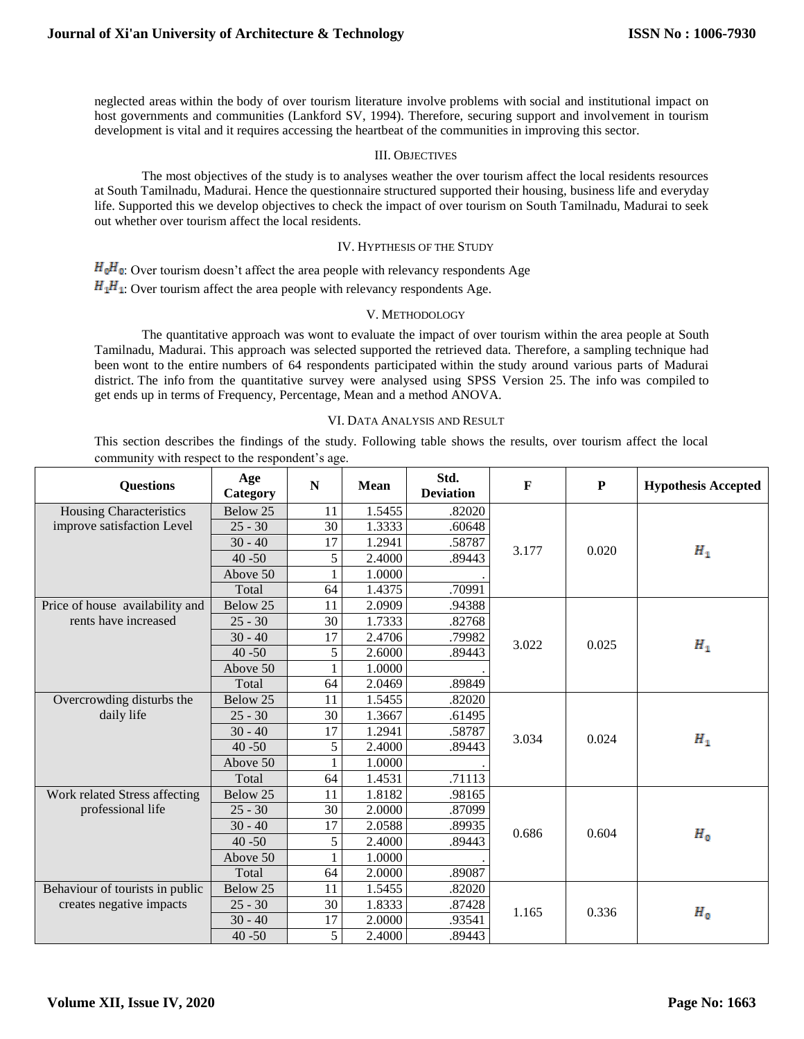neglected areas within the body of over tourism literature involve problems with social and institutional impact on host governments and communities (Lankford SV, 1994). Therefore, securing support and involvement in tourism development is vital and it requires accessing the heartbeat of the communities in improving this sector.

## III. OBJECTIVES

The most objectives of the study is to analyses weather the over tourism affect the local residents resources at South Tamilnadu, Madurai. Hence the questionnaire structured supported their housing, business life and everyday life. Supported this we develop objectives to check the impact of over tourism on South Tamilnadu, Madurai to seek out whether over tourism affect the local residents.

# IV. HYPTHESIS OF THE STUDY

 $H_0$ : Over tourism doesn't affect the area people with relevancy respondents Age  $H_1H_2$ : Over tourism affect the area people with relevancy respondents Age.

## V. METHODOLOGY

The quantitative approach was wont to evaluate the impact of over tourism within the area people at South Tamilnadu, Madurai. This approach was selected supported the retrieved data. Therefore, a sampling technique had been wont to the entire numbers of 64 respondents participated within the study around various parts of Madurai district. The info from the quantitative survey were analysed using SPSS Version 25. The info was compiled to get ends up in terms of Frequency, Percentage, Mean and a method ANOVA.

## VI. DATA ANALYSIS AND RESULT

This section describes the findings of the study. Following table shows the results, over tourism affect the local community with respect to the respondent's age.

| <b>Questions</b>                | Age<br>Category | N             | Mean   | Std.<br><b>Deviation</b> | F     | ${\bf P}$ | <b>Hypothesis Accepted</b> |
|---------------------------------|-----------------|---------------|--------|--------------------------|-------|-----------|----------------------------|
| Housing Characteristics         | Below 25        | 11            | 1.5455 | .82020                   |       | 0.020     | $H_1$                      |
| improve satisfaction Level      | $25 - 30$       | 30            | 1.3333 | .60648                   |       |           |                            |
|                                 | $30 - 40$       | 17            | 1.2941 | .58787                   | 3.177 |           |                            |
|                                 | $40 - 50$       | 5             | 2.4000 | .89443                   |       |           |                            |
|                                 | Above 50        |               | 1.0000 |                          |       |           |                            |
|                                 | Total           | 64            | 1.4375 | .70991                   |       |           |                            |
| Price of house availability and | Below 25        | 11            | 2.0909 | .94388                   | 3.022 | 0.025     | $H_{1}$                    |
| rents have increased            | $25 - 30$       | 30            | 1.7333 | .82768                   |       |           |                            |
|                                 | $30 - 40$       | 17            | 2.4706 | .79982                   |       |           |                            |
|                                 | $40 - 50$       | $\mathfrak s$ | 2.6000 | .89443                   |       |           |                            |
|                                 | Above 50        | $\mathbf{1}$  | 1.0000 |                          |       |           |                            |
|                                 | Total           | 64            | 2.0469 | .89849                   |       |           |                            |
| Overcrowding disturbs the       | Below 25        | 11            | 1.5455 | .82020                   | 3.034 | 0.024     | $H_1$                      |
| daily life                      | $25 - 30$       | 30            | 1.3667 | .61495                   |       |           |                            |
|                                 | $30 - 40$       | 17            | 1.2941 | .58787                   |       |           |                            |
|                                 | $40 - 50$       | 5             | 2.4000 | .89443                   |       |           |                            |
|                                 | Above 50        |               | 1.0000 |                          |       |           |                            |
|                                 | Total           | 64            | 1.4531 | .71113                   |       |           |                            |
| Work related Stress affecting   | Below 25        | 11            | 1.8182 | .98165                   | 0.686 | 0.604     | $H_0$                      |
| professional life               | $25 - 30$       | 30            | 2.0000 | .87099                   |       |           |                            |
|                                 | $30 - 40$       | 17            | 2.0588 | .89935                   |       |           |                            |
|                                 | $40 - 50$       | 5             | 2.4000 | .89443                   |       |           |                            |
|                                 | Above 50        |               | 1.0000 |                          |       |           |                            |
|                                 | Total           | 64            | 2.0000 | .89087                   |       |           |                            |
| Behaviour of tourists in public | Below 25        | 11            | 1.5455 | .82020                   | 1.165 | 0.336     | $H_0$                      |
| creates negative impacts        | $25 - 30$       | 30            | 1.8333 | .87428                   |       |           |                            |
|                                 | $30 - 40$       | 17            | 2.0000 | .93541                   |       |           |                            |
|                                 | $40 - 50$       | 5             | 2.4000 | .89443                   |       |           |                            |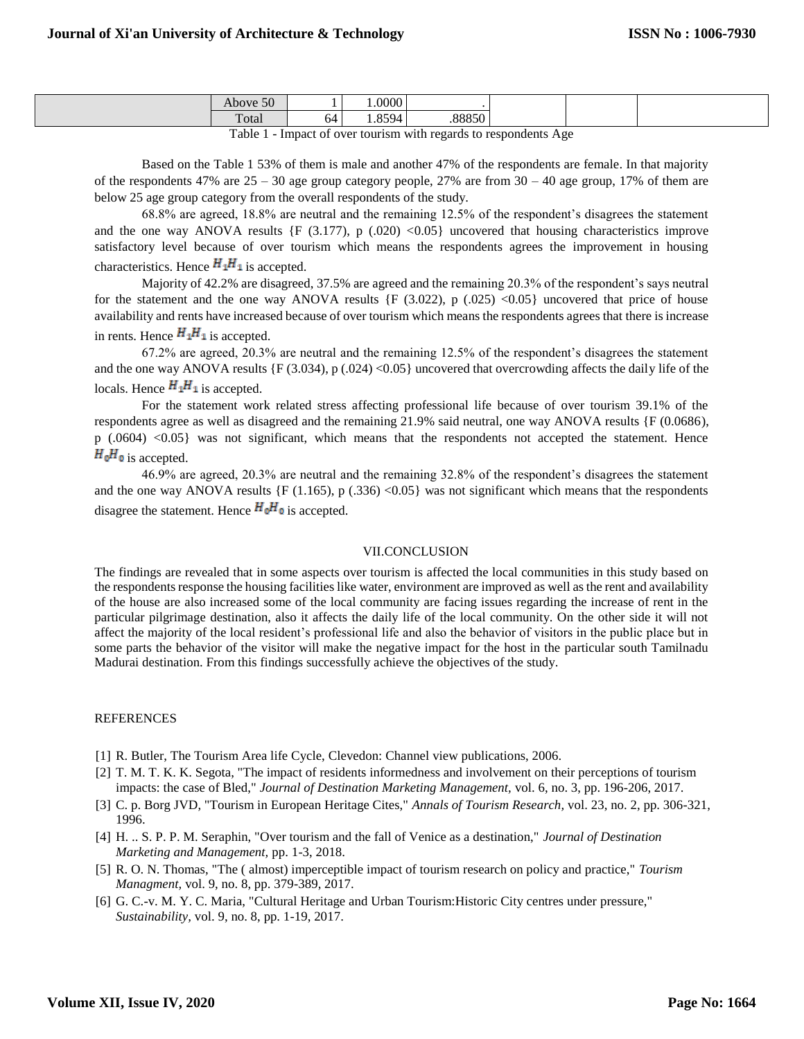| $\epsilon$<br>$\mathcal{D}^{\mathbf{U}}$ |    | .0000                |          |  |  |
|------------------------------------------|----|----------------------|----------|--|--|
| $\mathbf{r}$<br>υιαι                     | ١ć | $\sim$ $\sim$ $\sim$ | $0.0050$ |  |  |
| $\sim$ $\sim$ $\sim$<br>- 7              |    |                      | - 1      |  |  |

Table 1 - Impact of over tourism with regards to respondents Age

Based on the Table 1 53% of them is male and another 47% of the respondents are female. In that majority of the respondents 47% are  $25 - 30$  age group category people, 27% are from  $30 - 40$  age group, 17% of them are below 25 age group category from the overall respondents of the study.

68.8% are agreed, 18.8% are neutral and the remaining 12.5% of the respondent's disagrees the statement and the one way ANOVA results  $\{F(3.177), p(0.020) < 0.05\}$  uncovered that housing characteristics improve satisfactory level because of over tourism which means the respondents agrees the improvement in housing characteristics. Hence  $H_1H_1$  is accepted.

Majority of 42.2% are disagreed, 37.5% are agreed and the remaining 20.3% of the respondent's says neutral for the statement and the one way ANOVA results  ${F(3.022), p(.025) \le 0.05}$  uncovered that price of house availability and rents have increased because of over tourism which means the respondents agrees that there is increase in rents. Hence  $H_1H_1$  is accepted.

67.2% are agreed, 20.3% are neutral and the remaining 12.5% of the respondent's disagrees the statement and the one way ANOVA results  ${F(3.034), p(.024) < 0.05}$  uncovered that overcrowding affects the daily life of the locals. Hence  $H_1H_1$  is accepted.

For the statement work related stress affecting professional life because of over tourism 39.1% of the respondents agree as well as disagreed and the remaining 21.9% said neutral, one way ANOVA results {F (0.0686), p (.0604) <0.05} was not significant, which means that the respondents not accepted the statement. Hence  $H_0H_0$  is accepted.

46.9% are agreed, 20.3% are neutral and the remaining 32.8% of the respondent's disagrees the statement and the one way ANOVA results  $\{F(1.165), p(.336) < 0.05\}$  was not significant which means that the respondents disagree the statement. Hence  $H_0H_0$  is accepted.

## VII.CONCLUSION

The findings are revealed that in some aspects over tourism is affected the local communities in this study based on the respondents response the housing facilities like water, environment are improved as well as the rent and availability of the house are also increased some of the local community are facing issues regarding the increase of rent in the particular pilgrimage destination, also it affects the daily life of the local community. On the other side it will not affect the majority of the local resident's professional life and also the behavior of visitors in the public place but in some parts the behavior of the visitor will make the negative impact for the host in the particular south Tamilnadu Madurai destination. From this findings successfully achieve the objectives of the study.

# **REFERENCES**

- [1] R. Butler, The Tourism Area life Cycle, Clevedon: Channel view publications, 2006.
- [2] T. M. T. K. K. Segota, "The impact of residents informedness and involvement on their perceptions of tourism impacts: the case of Bled," *Journal of Destination Marketing Management,* vol. 6, no. 3, pp. 196-206, 2017.
- [3] C. p. Borg JVD, "Tourism in European Heritage Cites," *Annals of Tourism Research,* vol. 23, no. 2, pp. 306-321, 1996.
- [4] H. .. S. P. P. M. Seraphin, "Over tourism and the fall of Venice as a destination," *Journal of Destination Marketing and Management,* pp. 1-3, 2018.
- [5] R. O. N. Thomas, "The ( almost) imperceptible impact of tourism research on policy and practice," *Tourism Managment,* vol. 9, no. 8, pp. 379-389, 2017.
- [6] G. C.-v. M. Y. C. Maria, "Cultural Heritage and Urban Tourism:Historic City centres under pressure," *Sustainability,* vol. 9, no. 8, pp. 1-19, 2017.